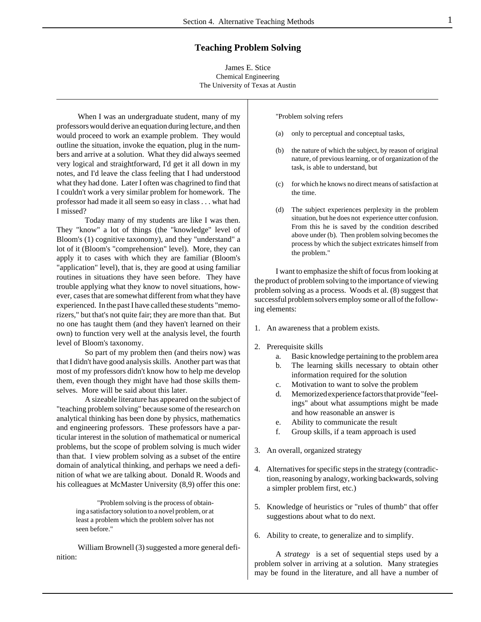# **Teaching Problem Solving**

James E. Stice Chemical Engineering The University of Texas at Austin

When I was an undergraduate student, many of my professors would derive an equation during lecture, and then would proceed to work an example problem. They would outline the situation, invoke the equation, plug in the numbers and arrive at a solution. What they did always seemed very logical and straightforward, I'd get it all down in my notes, and I'd leave the class feeling that I had understood what they had done. Later I often was chagrined to find that I couldn't work a very similar problem for homework. The professor had made it all seem so easy in class . . . what had I missed?

Today many of my students are like I was then. They "know" a lot of things (the "knowledge" level of Bloom's (1) cognitive taxonomy), and they "understand" a lot of it (Bloom's "comprehension" level). More, they can apply it to cases with which they are familiar (Bloom's "application" level), that is, they are good at using familiar routines in situations they have seen before. They have trouble applying what they know to novel situations, however, cases that are somewhat different from what they have experienced. In the past I have called these students "memorizers," but that's not quite fair; they are more than that. But no one has taught them (and they haven't learned on their own) to function very well at the analysis level, the fourth level of Bloom's taxonomy.

So part of my problem then (and theirs now) was that I didn't have good analysis skills. Another part was that most of my professors didn't know how to help me develop them, even though they might have had those skills themselves. More will be said about this later.

A sizeable literature has appeared on the subject of "teaching problem solving" because some of the research on analytical thinking has been done by physics, mathematics and engineering professors. These professors have a particular interest in the solution of mathematical or numerical problems, but the scope of problem solving is much wider than that. I view problem solving as a subset of the entire domain of analytical thinking, and perhaps we need a definition of what we are talking about. Donald R. Woods and his colleagues at McMaster University  $(8,9)$  offer this one:

> "Problem solving is the process of obtaining a satisfactory solution to a novel problem, or at least a problem which the problem solver has not seen before."

William Brownell (3) suggested a more general definition:

"Problem solving refers

- (a) only to perceptual and conceptual tasks,
- (b) the nature of which the subject, by reason of original nature, of previous learning, or of organization of the task, is able to understand, but
- (c) for which he knows no direct means of satisfaction at the time.
- (d) The subject experiences perplexity in the problem situation, but he does not experience utter confusion. From this he is saved by the condition described above under (b). Then problem solving becomes the process by which the subject extricates himself from the problem."

I want to emphasize the shift of focus from looking at the product of problem solving to the importance of viewing problem solving as a process. Woods et al. (8) suggest that successful problem solvers employ some or all of the following elements:

- 1. An awareness that a problem exists.
- 2. Prerequisite skills
	- a. Basic knowledge pertaining to the problem area
	- b. The learning skills necessary to obtain other information required for the solution
	- c. Motivation to want to solve the problem
	- d. Memorized experience factors that provide "feelings" about what assumptions might be made and how reasonable an answer is
	- e. Ability to communicate the result
	- f. Group skills, if a team approach is used
- 3. An overall, organized strategy
- 4. Alternatives for specific steps in the strategy (contradiction, reasoning by analogy, working backwards, solving a simpler problem first, etc.)
- 5. Knowledge of heuristics or "rules of thumb" that offer suggestions about what to do next.
- 6. Ability to create, to generalize and to simplify.

A *strategy* is a set of sequential steps used by a problem solver in arriving at a solution. Many strategies may be found in the literature, and all have a number of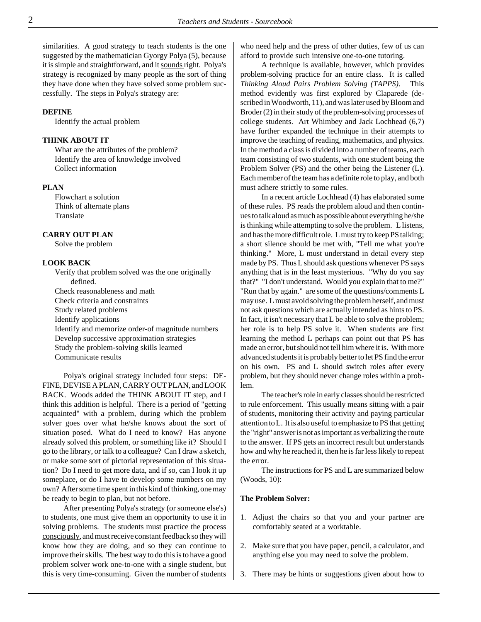similarities. A good strategy to teach students is the one suggested by the mathematician Gyorgy Polya (5), because it is simple and straightforward, and it sounds right. Polya's strategy is recognized by many people as the sort of thing they have done when they have solved some problem successfully. The steps in Polya's strategy are:

# **DEFINE**

Identify the actual problem

### **THINK ABOUT IT**

What are the attributes of the problem? Identify the area of knowledge involved Collect information

# **PLAN**

Flowchart a solution Think of alternate plans Translate

### **CARRY OUT PLAN**

Solve the problem

## **LOOK BACK**

Verify that problem solved was the one originally defined. Check reasonableness and math Check criteria and constraints Study related problems Identify applications Identify and memorize order-of magnitude numbers Develop successive approximation strategies Study the problem-solving skills learned Communicate results

Polya's original strategy included four steps: DE-FINE, DEVISE A PLAN, CARRY OUT PLAN, and LOOK BACK. Woods added the THINK ABOUT IT step, and I think this addition is helpful. There is a period of "getting acquainted" with a problem, during which the problem solver goes over what he/she knows about the sort of situation posed. What do I need to know? Has anyone already solved this problem, or something like it? Should I go to the library, or talk to a colleague? Can I draw a sketch, or make some sort of pictorial representation of this situation? Do I need to get more data, and if so, can I look it up someplace, or do I have to develop some numbers on my own? After some time spent in this kind of thinking, one may be ready to begin to plan, but not before.

After presenting Polya's strategy (or someone else's) to students, one must give them an opportunity to use it in solving problems. The students must practice the process consciously, and must receive constant feedback so they will know how they are doing, and so they can continue to improve their skills. The best way to do this is to have a good problem solver work one-to-one with a single student, but this is very time-consuming. Given the number of students who need help and the press of other duties, few of us can afford to provide such intensive one-to-one tutoring.

A technique is available, however, which provides problem-solving practice for an entire class. It is called *Thinking Aloud Pairs Problem Solving (TAPPS)*. This method evidently was first explored by Claparede (described in Woodworth, 11), and was later used by Bloom and Broder (2) in their study of the problem-solving processes of college students. Art Whimbey and Jack Lochhead (6,7) have further expanded the technique in their attempts to improve the teaching of reading, mathematics, and physics. In the method a class is divided into a number of teams, each team consisting of two students, with one student being the Problem Solver (PS) and the other being the Listener (L). Each member of the team has a definite role to play, and both must adhere strictly to some rules.

In a recent article Lochhead (4) has elaborated some of these rules. PS reads the problem aloud and then continues to talk aloud as much as possible about everything he/she is thinking while attempting to solve the problem. L listens, and has the more difficult role. L must try to keep PS talking; a short silence should be met with, "Tell me what you're thinking." More, L must understand in detail every step made by PS. Thus L should ask questions whenever PS says anything that is in the least mysterious. "Why do you say that?" "I don't understand. Would you explain that to me?" "Run that by again." are some of the questions/comments L may use. L must avoid solving the problem herself, and must not ask questions which are actually intended as hints to PS. In fact, it isn't necessary that L be able to solve the problem; her role is to help PS solve it. When students are first learning the method L perhaps can point out that PS has made an error, but should not tell him where it is. With more advanced students it is probably better to let PS find the error on his own. PS and L should switch roles after every problem, but they should never change roles within a problem.

The teacher's role in early classes should be restricted to rule enforcement. This usually means sitting with a pair of students, monitoring their activity and paying particular attention to L. It is also useful to emphasize to PS that getting the "right" answer is not as important as verbalizing the route to the answer. If PS gets an incorrect result but understands how and why he reached it, then he is far less likely to repeat the error.

The instructions for PS and L are summarized below (Woods, 10):

#### **The Problem Solver:**

- 1. Adjust the chairs so that you and your partner are comfortably seated at a worktable.
- 2. Make sure that you have paper, pencil, a calculator, and anything else you may need to solve the problem.
- 3. There may be hints or suggestions given about how to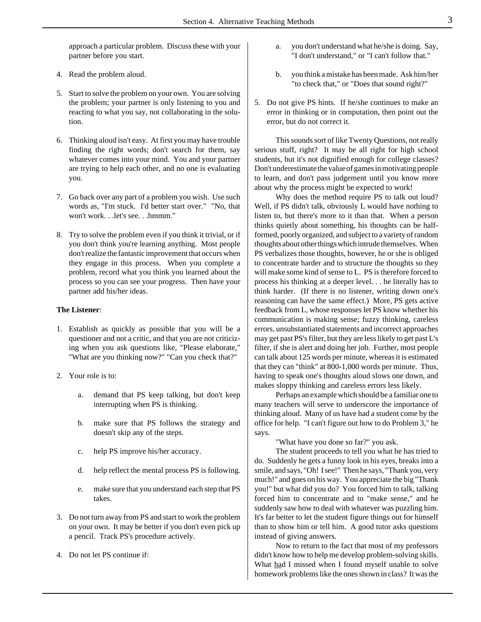approach a particular problem. Discuss these with your partner before you start.

- 4. Read the problem aloud.
- 5. Start to solve the problem on your own. You are solving the problem; your partner is only listening to you and reacting to what you say, not collaborating in the solution.
- 6. Thinking aloud isn't easy. At first you may have trouble finding the right words; don't search for them, say whatever comes into your mind. You and your partner are trying to help each other, and no one is evaluating you.
- 7. Go back over any part of a problem you wish. Use such words as, "I'm stuck. I'd better start over." "No, that won't work. . .let's see. . .hmmm."
- 8. Try to solve the problem even if you think it trivial, or if you don't think you're learning anything. Most people don't realize the fantastic improvement that occurs when they engage in this process. When you complete a problem, record what you think you learned about the process so you can see your progress. Then have your partner add his/her ideas.

# **The Listener**:

- 1. Establish as quickly as possible that you will be a questioner and not a critic, and that you are not criticizing when you ask questions like, "Please elaborate," "What are you thinking now?" "Can you check that?"
- 2. Your role is to:
	- a. demand that PS keep talking, but don't keep interrupting when PS is thinking.
	- b. make sure that PS follows the strategy and doesn't skip any of the steps.
	- c. help PS improve his/her accuracy.
	- d. help reflect the mental process PS is following.
	- e. make sure that you understand each step that PS takes.
- 3. Do not turn away from PS and start to work the problem on your own. It may be better if you don't even pick up a pencil. Track PS's procedure actively.
- 4. Do not let PS continue if:
- a. you don't understand what he/she is doing. Say, "I don't understand," or "I can't follow that."
- b. you think a mistake has been made. Ask him/her "to check that," or "Does that sound right?"
- 5. Do not give PS hints. If he/she continues to make an error in thinking or in computation, then point out the error, but do not correct it.

This sounds sort of like Twenty Questions, not really serious stuff, right? It may be all right for high school students, but it's not dignified enough for college classes? Don't underestimate the value of games in motivating people to learn, and don't pass judgement until you know more about why the process might be expected to work!

Why does the method require PS to talk out loud? Well, if PS didn't talk, obviously L would have nothing to listen to, but there's more to it than that. When a person thinks quietly about something, his thoughts can be halfformed, poorly organized, and subject to a variety of random thoughts about other things which intrude themselves. When PS verbalizes those thoughts, however, he or she is obliged to concentrate harder and to structure the thoughts so they will make some kind of sense to L. PS is therefore forced to process his thinking at a deeper level. . . he literally has to think harder. (If there is no listener, writing down one's reasoning can have the same effect.) More, PS gets active feedback from L, whose responses let PS know whether his communication is making sense; fuzzy thinking, careless errors, unsubstantiated statements and incorrect approaches may get past PS's filter, but they are less likely to get past L's filter, if she is alert and doing her job. Further, most people can talk about 125 words per minute, whereas it is estimated that they can "think" at 800-1,000 words per minute. Thus, having to speak one's thoughts aloud slows one down, and makes sloppy thinking and careless errors less likely.

Perhaps an example which should be a familiar one to many teachers will serve to underscore the importance of thinking aloud. Many of us have had a student come by the office for help. "I can't figure out how to do Problem 3," he says.

"What have you done so far?" you ask.

The student proceeds to tell you what he has tried to do. Suddenly he gets a funny look in his eyes, breaks into a smile, and says, "Oh! I see!" Then he says, "Thank you, very much!" and goes on his way. You appreciate the big "Thank you!" but what did you do? You forced him to talk, talking forced him to concentrate and to "make sense," and he suddenly saw how to deal with whatever was puzzling him. It's far better to let the student figure things out for himself than to show him or tell him. A good tutor asks questions instead of giving answers.

Now to return to the fact that most of my professors didn't know how to help me develop problem-solving skills. What had I missed when I found myself unable to solve homework problems like the ones shown in class? It was the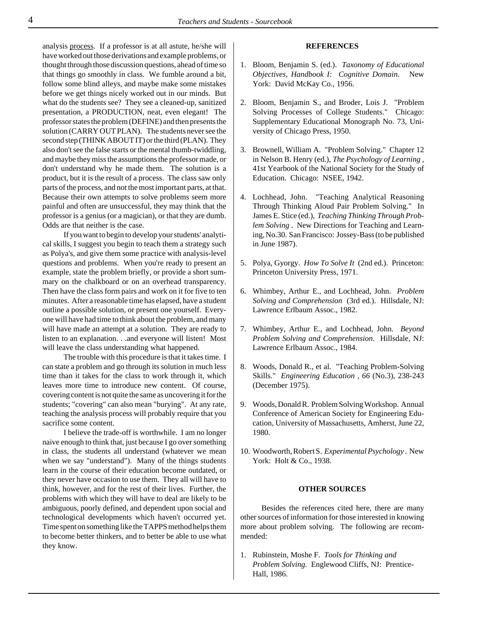analysis process. If a professor is at all astute, he/she will have worked out those derivations and example problems, or thought through those discussion questions, ahead of time so that things go smoothly in class. We fumble around a bit, follow some blind alleys, and maybe make some mistakes before we get things nicely worked out in our minds. But what do the students see? They see a cleaned-up, sanitized presentation, a PRODUCTION, neat, even elegant! The professor states the problem (DEFINE) and then presents the solution (CARRY OUT PLAN). The students never see the second step (THINK ABOUT IT) or the third (PLAN). They also don't see the false starts or the mental thumb-twiddling, and maybe they miss the assumptions the professor made, or don't understand why he made them. The solution is a product, but it is the result of a process. The class saw only parts of the process, and not the most important parts, at that. Because their own attempts to solve problems seem more painful and often are unsuccessful, they may think that the professor is a genius (or a magician), or that they are dumb. Odds are that neither is the case.

If you want to begin to develop your students' analytical skills, I suggest you begin to teach them a strategy such as Polya's, and give them some practice with analysis-level questions and problems. When you're ready to present an example, state the problem briefly, or provide a short summary on the chalkboard or on an overhead transparency. Then have the class form pairs and work on it for five to ten minutes. After a reasonable time has elapsed, have a student outline a possible solution, or present one yourself. Everyone will have had time to think about the problem, and many will have made an attempt at a solution. They are ready to listen to an explanation. . .and everyone will listen! Most will leave the class understanding what happened.

The trouble with this procedure is that it takes time. I can state a problem and go through its solution in much less time than it takes for the class to work through it, which leaves more time to introduce new content. Of course, covering content is not quite the same as uncovering it for the students; "covering" can also mean "burying". At any rate, teaching the analysis process will probably require that you sacrifice some content.

I believe the trade-off is worthwhile. I am no longer naive enough to think that, just because I go over something in class, the students all understand (whatever we mean when we say "understand"). Many of the things students learn in the course of their education become outdated, or they never have occasion to use them. They all will have to think, however, and for the rest of their lives. Further, the problems with which they will have to deal are likely to be ambiguous, poorly defined, and dependent upon social and technological developments which haven't occurred yet. Time spent on something like the TAPPS method helps them to become better thinkers, and to better be able to use what they know.

## **REFERENCES**

- 1. Bloom, Benjamin S. (ed.). *Taxonomy of Educational Objectives, Handbook I: Cognitive Domain.* New York: David McKay Co., 1956.
- 2. Bloom, Benjamin S., and Broder, Lois J. "Problem Solving Processes of College Students." Chicago: Supplementary Educational Monograph No. 73, University of Chicago Press, 1950.
- 3. Brownell, William A. "Problem Solving." Chapter 12 in Nelson B. Henry (ed.), *The Psychology of Learning* , 41st Yearbook of the National Society for the Study of Education. Chicago: NSEE, 1942.
- 4. Lochhead, John. "Teaching Analytical Reasoning Through Thinking Aloud Pair Problem Solving." In James E. Stice (ed.), *Teaching Thinking Through Problem Solving* . New Directions for Teaching and Learning, No.30. San Francisco: Jossey-Bass (to be published in June 1987).
- 5. Polya, Gyorgy. *How To Solve It* (2nd ed.). Princeton: Princeton University Press, 1971.
- 6. Whimbey, Arthur E., and Lochhead, John. *Problem Solving and Comprehension* (3rd ed.). Hillsdale, NJ: Lawrence Erlbaum Assoc., 1982.
- 7. Whimbey, Arthur E., and Lochhead, John. *Beyond Problem Solving and Comprehension*. Hillsdale, NJ: Lawrence Erlbaum Assoc., 1984.
- 8. Woods, Donald R., et al. "Teaching Problem-Solving Skills." *Engineering Education , 66* (No.3), 238-243 (December 1975).
- 9. Woods, Donald R. Problem Solving Workshop. Annual Conference of American Society for Engineering Education, University of Massachusetts, Amherst, June 22, 1980.
- 10. Woodworth, Robert S. *Experimental Psychology* . New York: Holt & Co., 1938.

#### **OTHER SOURCES**

Besides the references cited here, there are many other sources of information for those interested in knowing more about problem solving. The following are recommended:

1. Rubinstein, Moshe F. *Tools for Thinking and Problem Solving.* Englewood Cliffs, NJ: Prentice-Hall, 1986.